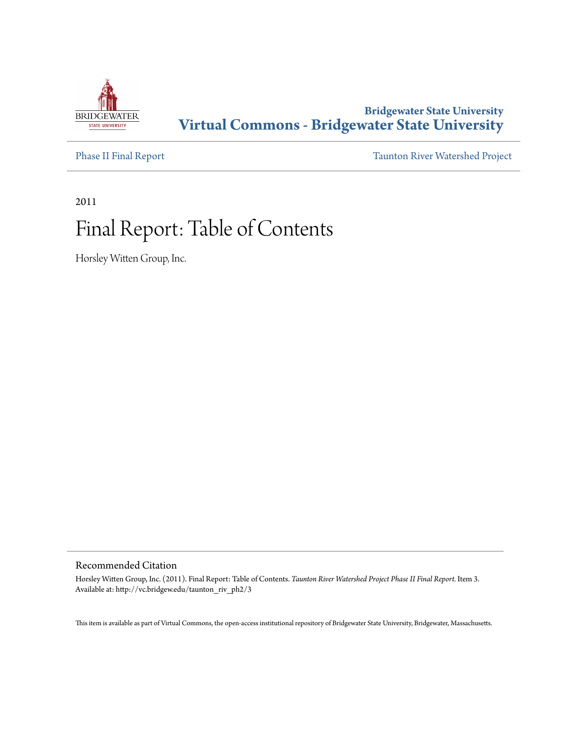

## **Bridgewater State University [Virtual Commons - Bridgewater State University](http://vc.bridgew.edu)**

[Phase II Final Report](http://vc.bridgew.edu/taunton_riv_ph2) [Taunton River Watershed Project](http://vc.bridgew.edu/taunton_riv)

2011

# Final Report: Table of Contents

Horsley Witten Group, Inc.

#### Recommended Citation

Horsley Witten Group, Inc. (2011). Final Report: Table of Contents. *Taunton River Watershed Project Phase II Final Report.* Item 3. Available at: http://vc.bridgew.edu/taunton\_riv\_ph2/3

This item is available as part of Virtual Commons, the open-access institutional repository of Bridgewater State University, Bridgewater, Massachusetts.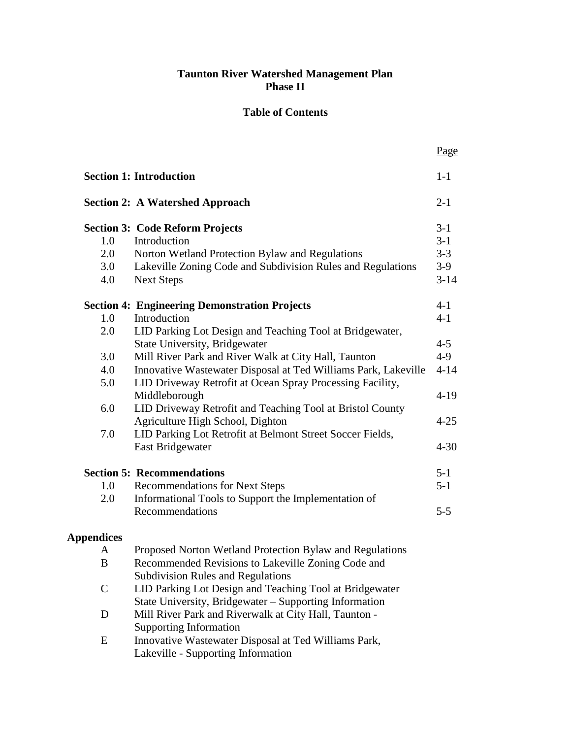## **Taunton River Watershed Management Plan Phase II**

### **Table of Contents**

|                   |                                                                | Page     |
|-------------------|----------------------------------------------------------------|----------|
|                   | <b>Section 1: Introduction</b>                                 | $1-1$    |
|                   | <b>Section 2: A Watershed Approach</b>                         | $2 - 1$  |
|                   | <b>Section 3: Code Reform Projects</b>                         | $3-1$    |
| 1.0               | Introduction                                                   | $3 - 1$  |
| 2.0               | Norton Wetland Protection Bylaw and Regulations                | $3 - 3$  |
| 3.0               | Lakeville Zoning Code and Subdivision Rules and Regulations    | $3-9$    |
| 4.0               | <b>Next Steps</b>                                              | $3 - 14$ |
|                   | <b>Section 4: Engineering Demonstration Projects</b>           | $4 - 1$  |
| 1.0               | Introduction                                                   | $4 - 1$  |
| 2.0               | LID Parking Lot Design and Teaching Tool at Bridgewater,       |          |
|                   | <b>State University, Bridgewater</b>                           | $4 - 5$  |
| 3.0               | Mill River Park and River Walk at City Hall, Taunton           | $4-9$    |
| 4.0               | Innovative Wastewater Disposal at Ted Williams Park, Lakeville | $4 - 14$ |
| 5.0               | LID Driveway Retrofit at Ocean Spray Processing Facility,      |          |
|                   | Middleborough                                                  | $4-19$   |
| 6.0               | LID Driveway Retrofit and Teaching Tool at Bristol County      |          |
|                   | Agriculture High School, Dighton                               | $4 - 25$ |
| 7.0               | LID Parking Lot Retrofit at Belmont Street Soccer Fields,      |          |
|                   | East Bridgewater                                               | $4 - 30$ |
|                   | <b>Section 5: Recommendations</b>                              | $5 - 1$  |
| 1.0               | <b>Recommendations for Next Steps</b>                          | $5 - 1$  |
| 2.0               | Informational Tools to Support the Implementation of           |          |
|                   | Recommendations                                                | $5 - 5$  |
| <b>Appendices</b> |                                                                |          |
| A                 | Proposed Norton Wetland Protection Bylaw and Regulations       |          |
| B                 | Recommended Revisions to Lakeville Zoning Code and             |          |
|                   | <b>Subdivision Rules and Regulations</b>                       |          |
| $\mathsf{C}$      | LID Parking Lot Design and Teaching Tool at Bridgewater        |          |
|                   | State University, Bridgewater – Supporting Information         |          |
| D                 | Mill River Park and Riverwalk at City Hall, Taunton -          |          |
|                   | Supporting Information                                         |          |
| E                 | Innovative Wastewater Disposal at Ted Williams Park,           |          |

Lakeville - Supporting Information